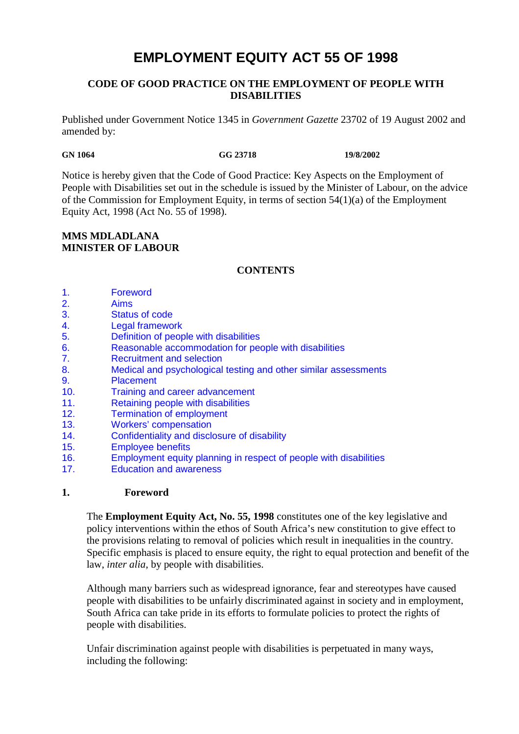# **EMPLOYMENT EQUITY ACT 55 OF 1998**

# **CODE OF GOOD PRACTICE ON THE EMPLOYMENT OF PEOPLE WITH DISABILITIES**

Published under Government Notice 1345 in *Government Gazette* 23702 of 19 August 2002 and amended by:

**GN 1064 GG 23718 19/8/2002** 

Notice is hereby given that the Code of Good Practice: Key Aspects on the Employment of People with Disabilities set out in the schedule is issued by the Minister of Labour, on the advice of the Commission for Employment Equity, in terms of section 54(1)(a) of the Employment Equity Act, 1998 (Act No. 55 of 1998).

# **MMS MDLADLANA MINISTER OF LABOUR**

# **CONTENTS**

- 1. Foreword
- 2. Aims
- 3. Status of code
- 4. Legal framework
- 5. Definition of people with disabilities
- 6. Reasonable accommodation for people with disabilities
- 7. Recruitment and selection
- 8. Medical and psychological testing and other similar assessments
- 9. Placement
- 10. Training and career advancement
- 11. Retaining people with disabilities
- 12. Termination of employment
- 13. Workers' compensation
- 14. Confidentiality and disclosure of disability
- 15. Employee benefits
- 16. Employment equity planning in respect of people with disabilities
- 17. Education and awareness

# **1. Foreword**

The **Employment Equity Act, No. 55, 1998** constitutes one of the key legislative and policy interventions within the ethos of South Africa's new constitution to give effect to the provisions relating to removal of policies which result in inequalities in the country. Specific emphasis is placed to ensure equity, the right to equal protection and benefit of the law, *inter alia*, by people with disabilities.

Although many barriers such as widespread ignorance, fear and stereotypes have caused people with disabilities to be unfairly discriminated against in society and in employment, South Africa can take pride in its efforts to formulate policies to protect the rights of people with disabilities.

Unfair discrimination against people with disabilities is perpetuated in many ways, including the following: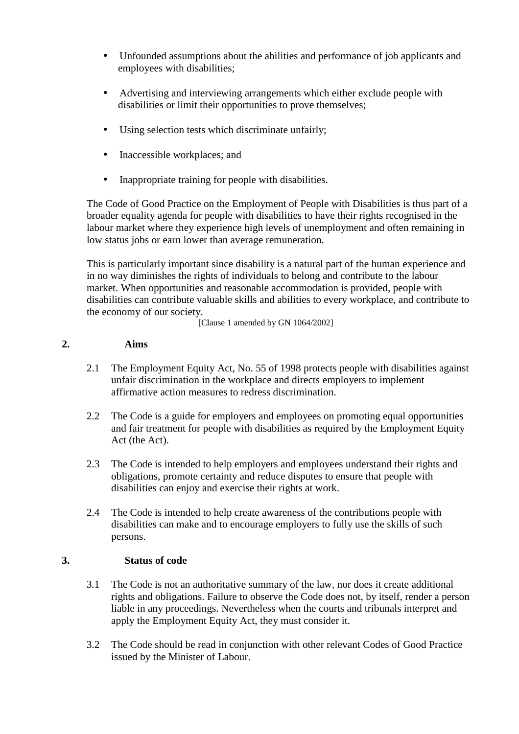- Unfounded assumptions about the abilities and performance of job applicants and employees with disabilities;
- Advertising and interviewing arrangements which either exclude people with disabilities or limit their opportunities to prove themselves;
- Using selection tests which discriminate unfairly;
- Inaccessible workplaces; and
- Inappropriate training for people with disabilities.

The Code of Good Practice on the Employment of People with Disabilities is thus part of a broader equality agenda for people with disabilities to have their rights recognised in the labour market where they experience high levels of unemployment and often remaining in low status jobs or earn lower than average remuneration.

This is particularly important since disability is a natural part of the human experience and in no way diminishes the rights of individuals to belong and contribute to the labour market. When opportunities and reasonable accommodation is provided, people with disabilities can contribute valuable skills and abilities to every workplace, and contribute to the economy of our society.

[Clause 1 amended by GN 1064/2002]

### **2. Aims**

- 2.1 The Employment Equity Act, No. 55 of 1998 protects people with disabilities against unfair discrimination in the workplace and directs employers to implement affirmative action measures to redress discrimination.
- 2.2 The Code is a guide for employers and employees on promoting equal opportunities and fair treatment for people with disabilities as required by the Employment Equity Act (the Act).
- 2.3 The Code is intended to help employers and employees understand their rights and obligations, promote certainty and reduce disputes to ensure that people with disabilities can enjoy and exercise their rights at work.
- 2.4 The Code is intended to help create awareness of the contributions people with disabilities can make and to encourage employers to fully use the skills of such persons.

# **3. Status of code**

- 3.1 The Code is not an authoritative summary of the law, nor does it create additional rights and obligations. Failure to observe the Code does not, by itself, render a person liable in any proceedings. Nevertheless when the courts and tribunals interpret and apply the Employment Equity Act, they must consider it.
- 3.2 The Code should be read in conjunction with other relevant Codes of Good Practice issued by the Minister of Labour.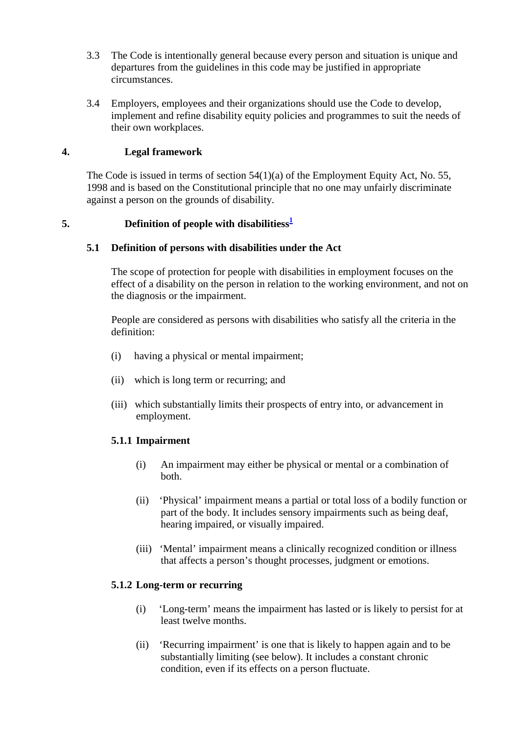- 3.3 The Code is intentionally general because every person and situation is unique and departures from the guidelines in this code may be justified in appropriate circumstances.
- 3.4 Employers, employees and their organizations should use the Code to develop, implement and refine disability equity policies and programmes to suit the needs of their own workplaces.

# **4. Legal framework**

The Code is issued in terms of section 54(1)(a) of the Employment Equity Act, No. 55, 1998 and is based on the Constitutional principle that no one may unfairly discriminate against a person on the grounds of disability.

### **5. Definition of people with disabilitiess<sup>1</sup>**

#### **5.1 Definition of persons with disabilities under the Act**

The scope of protection for people with disabilities in employment focuses on the effect of a disability on the person in relation to the working environment, and not on the diagnosis or the impairment.

People are considered as persons with disabilities who satisfy all the criteria in the definition:

- (i) having a physical or mental impairment;
- (ii) which is long term or recurring; and
- (iii) which substantially limits their prospects of entry into, or advancement in employment.

#### **5.1.1 Impairment**

- (i) An impairment may either be physical or mental or a combination of both.
- (ii) 'Physical' impairment means a partial or total loss of a bodily function or part of the body. It includes sensory impairments such as being deaf, hearing impaired, or visually impaired.
- (iii) 'Mental' impairment means a clinically recognized condition or illness that affects a person's thought processes, judgment or emotions.

#### **5.1.2 Long-term or recurring**

- (i) 'Long-term' means the impairment has lasted or is likely to persist for at least twelve months.
- (ii) 'Recurring impairment' is one that is likely to happen again and to be substantially limiting (see below). It includes a constant chronic condition, even if its effects on a person fluctuate.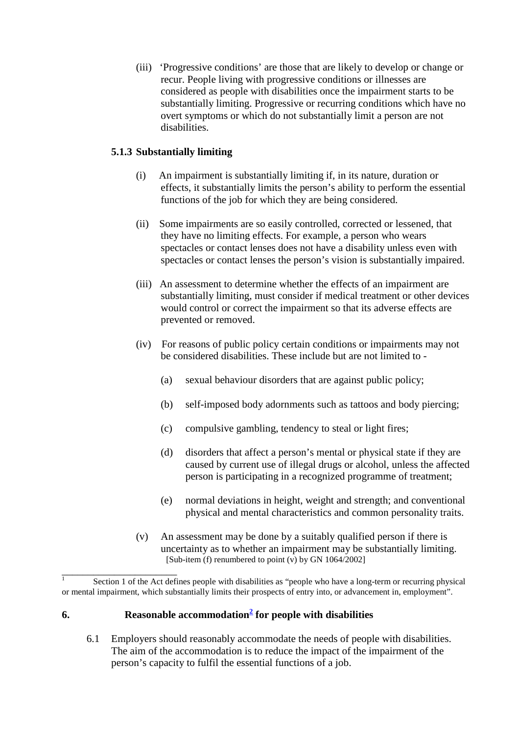(iii) 'Progressive conditions' are those that are likely to develop or change or recur. People living with progressive conditions or illnesses are considered as people with disabilities once the impairment starts to be substantially limiting. Progressive or recurring conditions which have no overt symptoms or which do not substantially limit a person are not disabilities.

# **5.1.3 Substantially limiting**

- (i) An impairment is substantially limiting if, in its nature, duration or effects, it substantially limits the person's ability to perform the essential functions of the job for which they are being considered.
- (ii) Some impairments are so easily controlled, corrected or lessened, that they have no limiting effects. For example, a person who wears spectacles or contact lenses does not have a disability unless even with spectacles or contact lenses the person's vision is substantially impaired.
- (iii) An assessment to determine whether the effects of an impairment are substantially limiting, must consider if medical treatment or other devices would control or correct the impairment so that its adverse effects are prevented or removed.
- (iv) For reasons of public policy certain conditions or impairments may not be considered disabilities. These include but are not limited to -
	- (a) sexual behaviour disorders that are against public policy;
	- (b) self-imposed body adornments such as tattoos and body piercing;
	- (c) compulsive gambling, tendency to steal or light fires;
	- (d) disorders that affect a person's mental or physical state if they are caused by current use of illegal drugs or alcohol, unless the affected person is participating in a recognized programme of treatment;
	- (e) normal deviations in height, weight and strength; and conventional physical and mental characteristics and common personality traits.
- (v) An assessment may be done by a suitably qualified person if there is uncertainty as to whether an impairment may be substantially limiting. [Sub-item (f) renumbered to point  $(v)$  by GN 1064/2002]

 $\overline{1}$  Section 1 of the Act defines people with disabilities as "people who have a long-term or recurring physical or mental impairment, which substantially limits their prospects of entry into, or advancement in, employment".

# **6. Reasonable accommodation<sup>2</sup> for people with disabilities**

\_\_\_\_\_\_\_\_\_\_\_\_\_\_\_\_\_\_\_\_\_\_

6.1 Employers should reasonably accommodate the needs of people with disabilities. The aim of the accommodation is to reduce the impact of the impairment of the person's capacity to fulfil the essential functions of a job.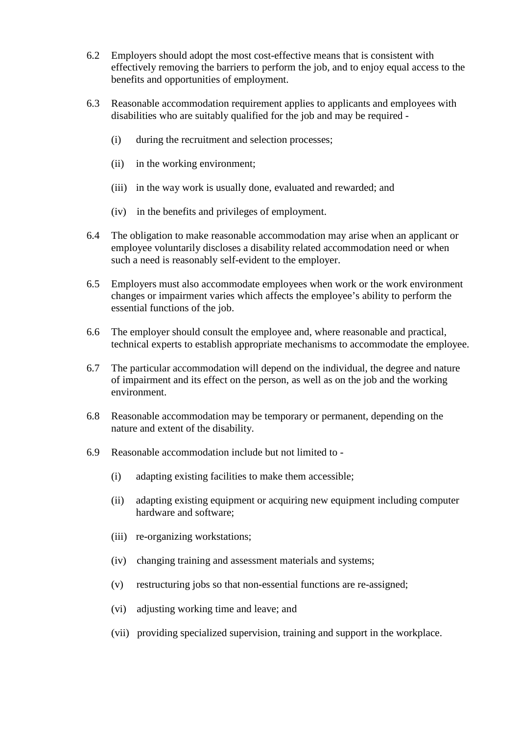- 6.2 Employers should adopt the most cost-effective means that is consistent with effectively removing the barriers to perform the job, and to enjoy equal access to the benefits and opportunities of employment.
- 6.3 Reasonable accommodation requirement applies to applicants and employees with disabilities who are suitably qualified for the job and may be required -
	- (i) during the recruitment and selection processes;
	- (ii) in the working environment;
	- (iii) in the way work is usually done, evaluated and rewarded; and
	- (iv) in the benefits and privileges of employment.
- 6.4 The obligation to make reasonable accommodation may arise when an applicant or employee voluntarily discloses a disability related accommodation need or when such a need is reasonably self-evident to the employer.
- 6.5 Employers must also accommodate employees when work or the work environment changes or impairment varies which affects the employee's ability to perform the essential functions of the job.
- 6.6 The employer should consult the employee and, where reasonable and practical, technical experts to establish appropriate mechanisms to accommodate the employee.
- 6.7 The particular accommodation will depend on the individual, the degree and nature of impairment and its effect on the person, as well as on the job and the working environment.
- 6.8 Reasonable accommodation may be temporary or permanent, depending on the nature and extent of the disability.
- 6.9 Reasonable accommodation include but not limited to
	- (i) adapting existing facilities to make them accessible;
	- (ii) adapting existing equipment or acquiring new equipment including computer hardware and software;
	- (iii) re-organizing workstations;
	- (iv) changing training and assessment materials and systems;
	- (v) restructuring jobs so that non-essential functions are re-assigned;
	- (vi) adjusting working time and leave; and
	- (vii) providing specialized supervision, training and support in the workplace.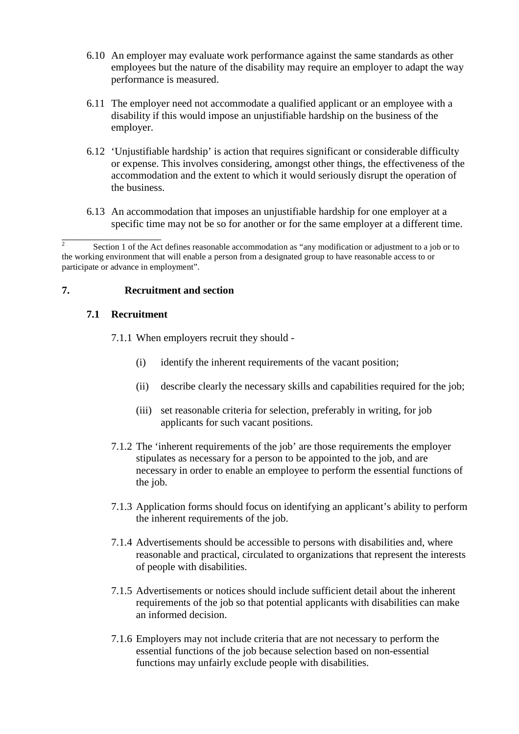- 6.10 An employer may evaluate work performance against the same standards as other employees but the nature of the disability may require an employer to adapt the way performance is measured.
- 6.11 The employer need not accommodate a qualified applicant or an employee with a disability if this would impose an unjustifiable hardship on the business of the employer.
- 6.12 'Unjustifiable hardship' is action that requires significant or considerable difficulty or expense. This involves considering, amongst other things, the effectiveness of the accommodation and the extent to which it would seriously disrupt the operation of the business.
- 6.13 An accommodation that imposes an unjustifiable hardship for one employer at a specific time may not be so for another or for the same employer at a different time.

### **7. Recruitment and section**

### **7.1 Recruitment**

\_\_\_\_\_\_\_\_\_\_\_\_\_\_\_\_\_\_\_

7.1.1 When employers recruit they should -

- (i) identify the inherent requirements of the vacant position;
- (ii) describe clearly the necessary skills and capabilities required for the job;
- (iii) set reasonable criteria for selection, preferably in writing, for job applicants for such vacant positions.
- 7.1.2 The 'inherent requirements of the job' are those requirements the employer stipulates as necessary for a person to be appointed to the job, and are necessary in order to enable an employee to perform the essential functions of the job.
- 7.1.3 Application forms should focus on identifying an applicant's ability to perform the inherent requirements of the job.
- 7.1.4 Advertisements should be accessible to persons with disabilities and, where reasonable and practical, circulated to organizations that represent the interests of people with disabilities.
- 7.1.5 Advertisements or notices should include sufficient detail about the inherent requirements of the job so that potential applicants with disabilities can make an informed decision.
- 7.1.6 Employers may not include criteria that are not necessary to perform the essential functions of the job because selection based on non-essential functions may unfairly exclude people with disabilities.

 $\overline{2}$  Section 1 of the Act defines reasonable accommodation as "any modification or adjustment to a job or to the working environment that will enable a person from a designated group to have reasonable access to or participate or advance in employment".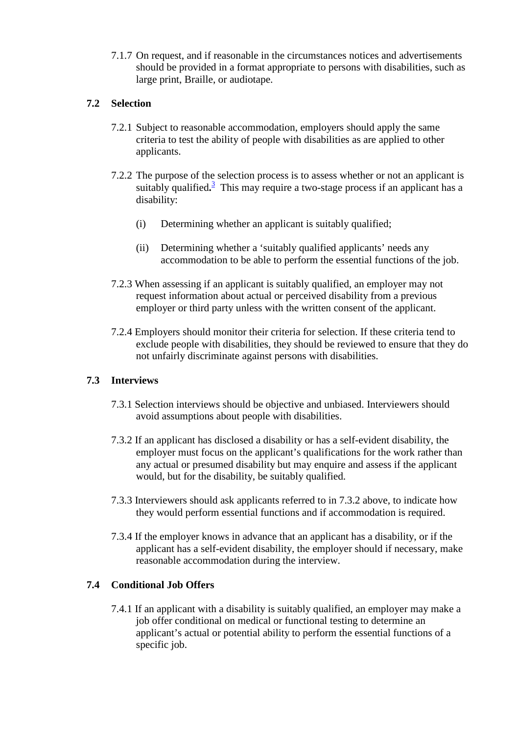7.1.7 On request, and if reasonable in the circumstances notices and advertisements should be provided in a format appropriate to persons with disabilities, such as large print, Braille, or audiotape.

# **7.2 Selection**

- 7.2.1 Subject to reasonable accommodation, employers should apply the same criteria to test the ability of people with disabilities as are applied to other applicants.
- 7.2.2 The purpose of the selection process is to assess whether or not an applicant is suitably qualified.<sup>3</sup> This may require a two-stage process if an applicant has a disability:
	- (i) Determining whether an applicant is suitably qualified;
	- (ii) Determining whether a 'suitably qualified applicants' needs any accommodation to be able to perform the essential functions of the job.
- 7.2.3 When assessing if an applicant is suitably qualified, an employer may not request information about actual or perceived disability from a previous employer or third party unless with the written consent of the applicant.
- 7.2.4 Employers should monitor their criteria for selection. If these criteria tend to exclude people with disabilities, they should be reviewed to ensure that they do not unfairly discriminate against persons with disabilities.

# **7.3 Interviews**

- 7.3.1 Selection interviews should be objective and unbiased. Interviewers should avoid assumptions about people with disabilities.
- 7.3.2 If an applicant has disclosed a disability or has a self-evident disability, the employer must focus on the applicant's qualifications for the work rather than any actual or presumed disability but may enquire and assess if the applicant would, but for the disability, be suitably qualified.
- 7.3.3 Interviewers should ask applicants referred to in 7.3.2 above, to indicate how they would perform essential functions and if accommodation is required.
- 7.3.4 If the employer knows in advance that an applicant has a disability, or if the applicant has a self-evident disability, the employer should if necessary, make reasonable accommodation during the interview.

# **7.4 Conditional Job Offers**

7.4.1 If an applicant with a disability is suitably qualified, an employer may make a job offer conditional on medical or functional testing to determine an applicant's actual or potential ability to perform the essential functions of a specific job.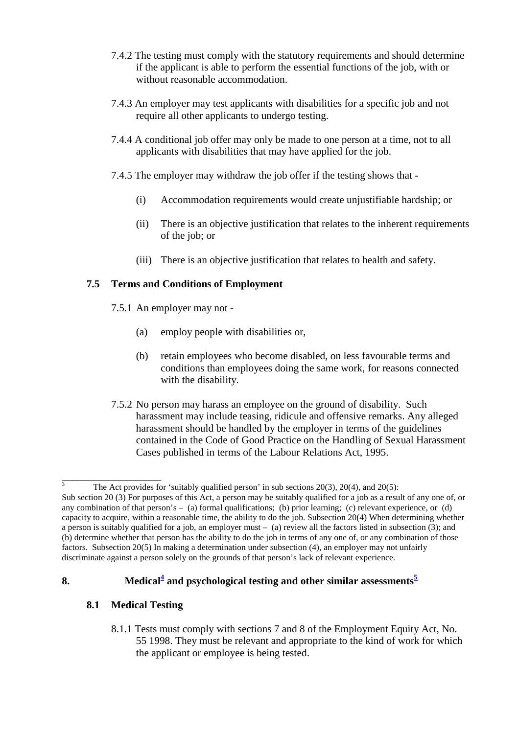- 7.4.2 The testing must comply with the statutory requirements and should determine if the applicant is able to perform the essential functions of the job, with or without reasonable accommodation.
- 7.4.3 An employer may test applicants with disabilities for a specific job and not require all other applicants to undergo testing.
- 7.4.4 A conditional job offer may only be made to one person at a time, not to all applicants with disabilities that may have applied for the job.
- 7.4.5 The employer may withdraw the job offer if the testing shows that
	- (i) Accommodation requirements would create unjustifiable hardship; or
	- (ii) There is an objective justification that relates to the inherent requirements of the job; or
	- (iii) There is an objective justification that relates to health and safety.

### **7.5 Terms and Conditions of Employment**

- 7.5.1 An employer may not
	- (a) employ people with disabilities or,
	- (b) retain employees who become disabled, on less favourable terms and conditions than employees doing the same work, for reasons connected with the disability.
- 7.5.2 No person may harass an employee on the ground of disability. Such harassment may include teasing, ridicule and offensive remarks. Any alleged harassment should be handled by the employer in terms of the guidelines contained in the Code of Good Practice on the Handling of Sexual Harassment Cases published in terms of the Labour Relations Act, 1995.

# **8. Medical<sup>4</sup> and psychological testing and other similar assessments<sup>5</sup>**

# **8.1 Medical Testing**

\_\_\_\_\_\_\_\_\_\_\_\_\_\_\_\_\_\_\_

8.1.1 Tests must comply with sections 7 and 8 of the Employment Equity Act, No. 55 1998. They must be relevant and appropriate to the kind of work for which the applicant or employee is being tested.

<sup>3</sup> The Act provides for 'suitably qualified person' in sub sections 20(3), 20(4), and 20(5): Sub section 20 (3) For purposes of this Act, a person may be suitably qualified for a job as a result of any one of, or any combination of that person's  $-$  (a) formal qualifications; (b) prior learning; (c) relevant experience, or (d) capacity to acquire, within a reasonable time, the ability to do the job. Subsection 20(4) When determining whether a person is suitably qualified for a job, an employer must – (a) review all the factors listed in subsection (3); and (b) determine whether that person has the ability to do the job in terms of any one of, or any combination of those factors. Subsection 20(5) In making a determination under subsection (4), an employer may not unfairly discriminate against a person solely on the grounds of that person's lack of relevant experience.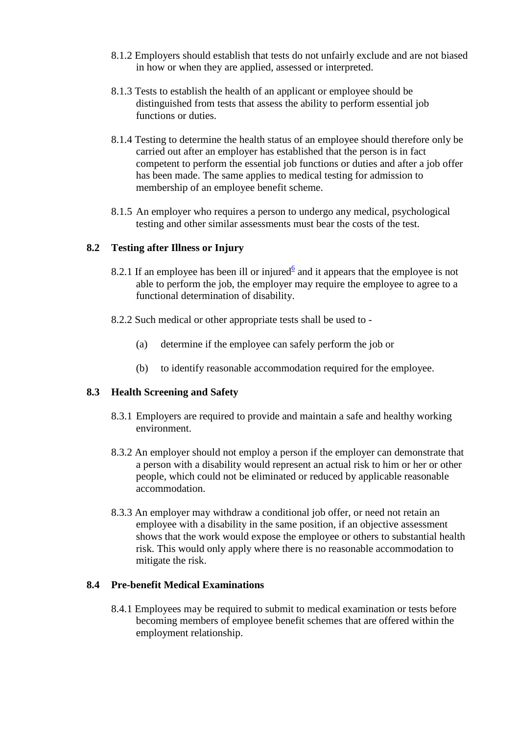- 8.1.2 Employers should establish that tests do not unfairly exclude and are not biased in how or when they are applied, assessed or interpreted.
- 8.1.3 Tests to establish the health of an applicant or employee should be distinguished from tests that assess the ability to perform essential job functions or duties.
- 8.1.4 Testing to determine the health status of an employee should therefore only be carried out after an employer has established that the person is in fact competent to perform the essential job functions or duties and after a job offer has been made. The same applies to medical testing for admission to membership of an employee benefit scheme.
- 8.1.5 An employer who requires a person to undergo any medical, psychological testing and other similar assessments must bear the costs of the test.

### **8.2 Testing after Illness or Injury**

- 8.2.1 If an employee has been ill or injured $6$  and it appears that the employee is not able to perform the job, the employer may require the employee to agree to a functional determination of disability.
- 8.2.2 Such medical or other appropriate tests shall be used to
	- (a) determine if the employee can safely perform the job or
	- (b) to identify reasonable accommodation required for the employee.

# **8.3 Health Screening and Safety**

- 8.3.1 Employers are required to provide and maintain a safe and healthy working environment.
- 8.3.2 An employer should not employ a person if the employer can demonstrate that a person with a disability would represent an actual risk to him or her or other people, which could not be eliminated or reduced by applicable reasonable accommodation.
- 8.3.3 An employer may withdraw a conditional job offer, or need not retain an employee with a disability in the same position, if an objective assessment shows that the work would expose the employee or others to substantial health risk. This would only apply where there is no reasonable accommodation to mitigate the risk.

#### **8.4 Pre-benefit Medical Examinations**

8.4.1 Employees may be required to submit to medical examination or tests before becoming members of employee benefit schemes that are offered within the employment relationship.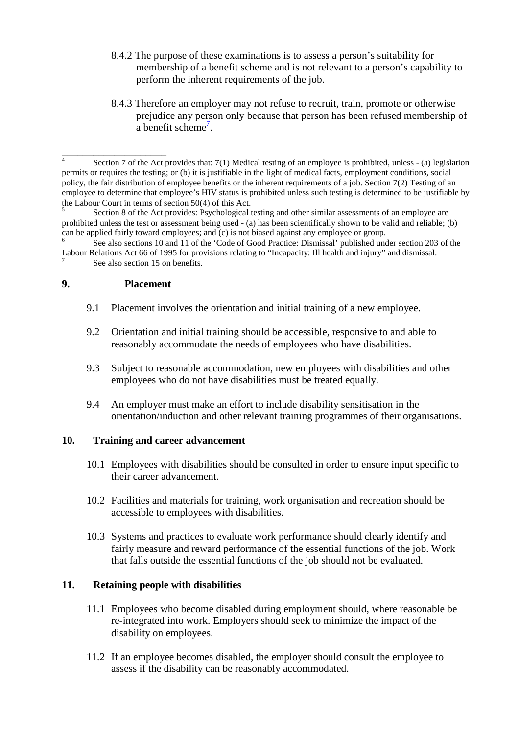- 8.4.2 The purpose of these examinations is to assess a person's suitability for membership of a benefit scheme and is not relevant to a person's capability to perform the inherent requirements of the job.
- 8.4.3 Therefore an employer may not refuse to recruit, train, promote or otherwise prejudice any person only because that person has been refused membership of a benefit scheme<sup> $7$ </sup>.

5 Section 8 of the Act provides: Psychological testing and other similar assessments of an employee are prohibited unless the test or assessment being used - (a) has been scientifically shown to be valid and reliable; (b) can be applied fairly toward employees; and (c) is not biased against any employee or group.

#### **9. Placement**

\_\_\_\_\_\_\_\_\_\_\_\_\_\_\_\_\_\_\_\_

- 9.1 Placement involves the orientation and initial training of a new employee.
- 9.2 Orientation and initial training should be accessible, responsive to and able to reasonably accommodate the needs of employees who have disabilities.
- 9.3 Subject to reasonable accommodation, new employees with disabilities and other employees who do not have disabilities must be treated equally.
- 9.4 An employer must make an effort to include disability sensitisation in the orientation/induction and other relevant training programmes of their organisations.

#### **10. Training and career advancement**

- 10.1 Employees with disabilities should be consulted in order to ensure input specific to their career advancement.
- 10.2 Facilities and materials for training, work organisation and recreation should be accessible to employees with disabilities.
- 10.3 Systems and practices to evaluate work performance should clearly identify and fairly measure and reward performance of the essential functions of the job. Work that falls outside the essential functions of the job should not be evaluated.

# **11. Retaining people with disabilities**

- 11.1 Employees who become disabled during employment should, where reasonable be re-integrated into work. Employers should seek to minimize the impact of the disability on employees.
- 11.2 If an employee becomes disabled, the employer should consult the employee to assess if the disability can be reasonably accommodated.

<sup>4</sup> Section 7 of the Act provides that: 7(1) Medical testing of an employee is prohibited, unless - (a) legislation permits or requires the testing; or (b) it is justifiable in the light of medical facts, employment conditions, social policy, the fair distribution of employee benefits or the inherent requirements of a job. Section 7(2) Testing of an employee to determine that employee's HIV status is prohibited unless such testing is determined to be justifiable by the Labour Court in terms of section 50(4) of this Act.

<sup>6</sup> See also sections 10 and 11 of the 'Code of Good Practice: Dismissal' published under section 203 of the Labour Relations Act 66 of 1995 for provisions relating to "Incapacity: Ill health and injury" and dismissal. 7 See also section 15 on benefits.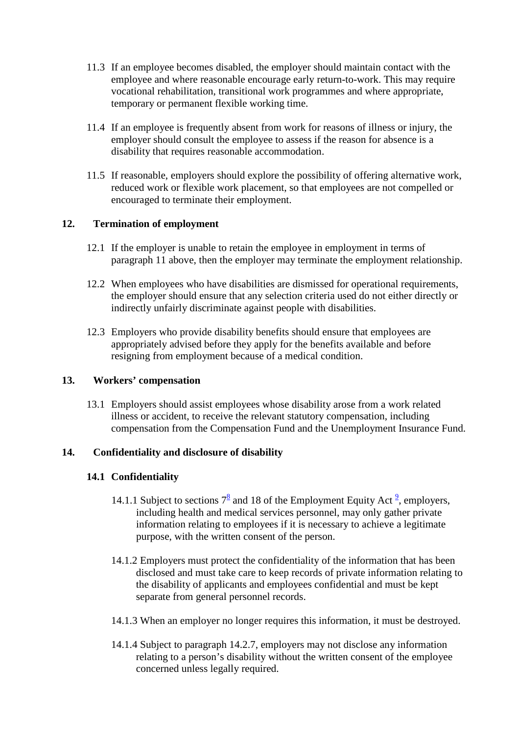- 11.3 If an employee becomes disabled, the employer should maintain contact with the employee and where reasonable encourage early return-to-work. This may require vocational rehabilitation, transitional work programmes and where appropriate, temporary or permanent flexible working time.
- 11.4 If an employee is frequently absent from work for reasons of illness or injury, the employer should consult the employee to assess if the reason for absence is a disability that requires reasonable accommodation.
- 11.5 If reasonable, employers should explore the possibility of offering alternative work, reduced work or flexible work placement, so that employees are not compelled or encouraged to terminate their employment.

# **12. Termination of employment**

- 12.1 If the employer is unable to retain the employee in employment in terms of paragraph 11 above, then the employer may terminate the employment relationship.
- 12.2 When employees who have disabilities are dismissed for operational requirements, the employer should ensure that any selection criteria used do not either directly or indirectly unfairly discriminate against people with disabilities.
- 12.3 Employers who provide disability benefits should ensure that employees are appropriately advised before they apply for the benefits available and before resigning from employment because of a medical condition.

#### **13. Workers' compensation**

13.1 Employers should assist employees whose disability arose from a work related illness or accident, to receive the relevant statutory compensation, including compensation from the Compensation Fund and the Unemployment Insurance Fund.

#### **14. Confidentiality and disclosure of disability**

#### **14.1 Confidentiality**

- 14.1.1 Subject to sections  $7^8$  and 18 of the Employment Equity Act  $\frac{9}{7}$ , employers, including health and medical services personnel, may only gather private information relating to employees if it is necessary to achieve a legitimate purpose, with the written consent of the person.
- 14.1.2 Employers must protect the confidentiality of the information that has been disclosed and must take care to keep records of private information relating to the disability of applicants and employees confidential and must be kept separate from general personnel records.
- 14.1.3 When an employer no longer requires this information, it must be destroyed.
- 14.1.4 Subject to paragraph 14.2.7, employers may not disclose any information relating to a person's disability without the written consent of the employee concerned unless legally required.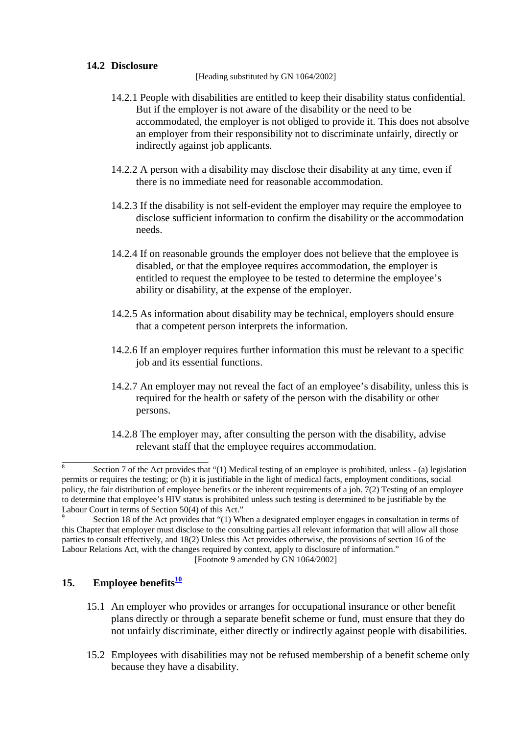#### **14.2 Disclosure**

[Heading substituted by GN 1064/2002]

- 14.2.1 People with disabilities are entitled to keep their disability status confidential. But if the employer is not aware of the disability or the need to be accommodated, the employer is not obliged to provide it. This does not absolve an employer from their responsibility not to discriminate unfairly, directly or indirectly against job applicants.
- 14.2.2 A person with a disability may disclose their disability at any time, even if there is no immediate need for reasonable accommodation.
- 14.2.3 If the disability is not self-evident the employer may require the employee to disclose sufficient information to confirm the disability or the accommodation needs.
- 14.2.4 If on reasonable grounds the employer does not believe that the employee is disabled, or that the employee requires accommodation, the employer is entitled to request the employee to be tested to determine the employee's ability or disability, at the expense of the employer.
- 14.2.5 As information about disability may be technical, employers should ensure that a competent person interprets the information.
- 14.2.6 If an employer requires further information this must be relevant to a specific job and its essential functions.
- 14.2.7 An employer may not reveal the fact of an employee's disability, unless this is required for the health or safety of the person with the disability or other persons.
- 14.2.8 The employer may, after consulting the person with the disability, advise relevant staff that the employee requires accommodation.

#### [Footnote 9 amended by GN 1064/2002]

# **15. Employee benefits<sup>10</sup>**

\_\_\_\_\_\_\_\_\_\_\_\_\_\_\_\_\_\_\_\_\_\_\_\_\_\_\_\_

- 15.1 An employer who provides or arranges for occupational insurance or other benefit plans directly or through a separate benefit scheme or fund, must ensure that they do not unfairly discriminate, either directly or indirectly against people with disabilities.
- 15.2 Employees with disabilities may not be refused membership of a benefit scheme only because they have a disability.

<sup>8</sup> Section 7 of the Act provides that "(1) Medical testing of an employee is prohibited, unless - (a) legislation permits or requires the testing; or (b) it is justifiable in the light of medical facts, employment conditions, social policy, the fair distribution of employee benefits or the inherent requirements of a job. 7(2) Testing of an employee to determine that employee's HIV status is prohibited unless such testing is determined to be justifiable by the Labour Court in terms of Section 50(4) of this Act."

<sup>9</sup> Section 18 of the Act provides that "(1) When a designated employer engages in consultation in terms of this Chapter that employer must disclose to the consulting parties all relevant information that will allow all those parties to consult effectively, and 18(2) Unless this Act provides otherwise, the provisions of section 16 of the Labour Relations Act, with the changes required by context, apply to disclosure of information."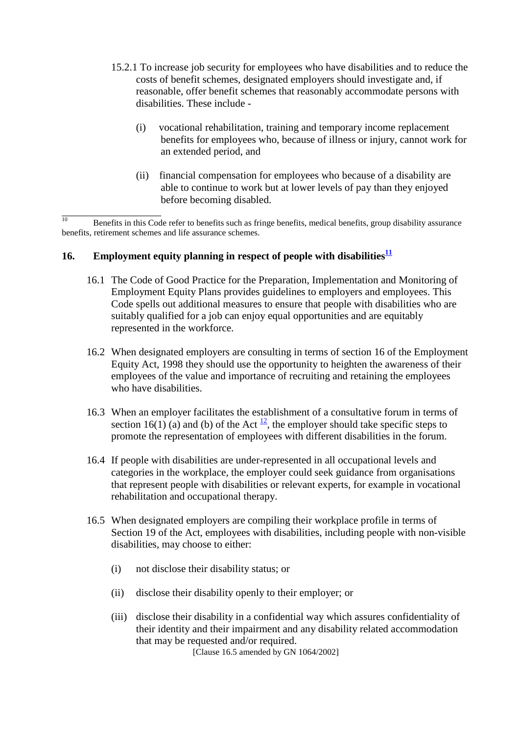- 15.2.1 To increase job security for employees who have disabilities and to reduce the costs of benefit schemes, designated employers should investigate and, if reasonable, offer benefit schemes that reasonably accommodate persons with disabilities. These include -
	- (i) vocational rehabilitation, training and temporary income replacement benefits for employees who, because of illness or injury, cannot work for an extended period, and
	- (ii) financial compensation for employees who because of a disability are able to continue to work but at lower levels of pay than they enjoyed before becoming disabled.

\_\_\_\_\_\_\_\_\_\_\_\_\_\_\_\_\_\_\_  $\frac{10}{10}$  Benefits in this Code refer to benefits such as fringe benefits, medical benefits, group disability assurance benefits, retirement schemes and life assurance schemes.

# **16. Employment equity planning in respect of people with disabilities<sup>11</sup>**

- 16.1 The Code of Good Practice for the Preparation, Implementation and Monitoring of Employment Equity Plans provides guidelines to employers and employees. This Code spells out additional measures to ensure that people with disabilities who are suitably qualified for a job can enjoy equal opportunities and are equitably represented in the workforce.
- 16.2 When designated employers are consulting in terms of section 16 of the Employment Equity Act, 1998 they should use the opportunity to heighten the awareness of their employees of the value and importance of recruiting and retaining the employees who have disabilities.
- 16.3 When an employer facilitates the establishment of a consultative forum in terms of section 16(1) (a) and (b) of the Act  $\frac{12}{2}$ , the employer should take specific steps to promote the representation of employees with different disabilities in the forum.
- 16.4 If people with disabilities are under-represented in all occupational levels and categories in the workplace, the employer could seek guidance from organisations that represent people with disabilities or relevant experts, for example in vocational rehabilitation and occupational therapy.
- 16.5 When designated employers are compiling their workplace profile in terms of Section 19 of the Act, employees with disabilities, including people with non-visible disabilities, may choose to either:
	- (i) not disclose their disability status; or
	- (ii) disclose their disability openly to their employer; or
	- (iii) disclose their disability in a confidential way which assures confidentiality of their identity and their impairment and any disability related accommodation that may be requested and/or required. [Clause 16.5 amended by GN 1064/2002]